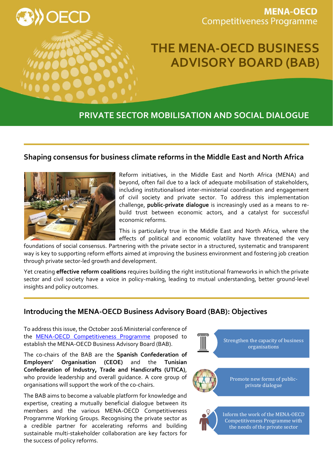

**MENA-OECD Competitiveness Programme** 

# **THE MENA-OECD BUSINESS ADVISORY BOARD (BAB)**

# **PRIVATE SECTOR MOBILISATION AND SOCIAL DIALOGUE**

## **Shaping consensus for business climate reforms in the Middle East and North Africa**



Reform initiatives, in the Middle East and North Africa (MENA) and beyond, often fail due to a lack of adequate mobilisation of stakeholders, including institutionalised inter-ministerial coordination and engagement of civil society and private sector. To address this implementation challenge, **public-private dialogue** is increasingly used as a means to rebuild trust between economic actors, and a catalyst for successful economic reforms.

This is particularly true in the Middle East and North Africa, where the effects of political and economic volatility have threatened the very

foundations of social consensus. Partnering with the private sector in a structured, systematic and transparent way is key to supporting reform efforts aimed at improving the business environment and fostering job creation through private sector-led growth and development.

Yet creating **effective reform coalitions** requires building the right institutional frameworks in which the private sector and civil society have a voice in policy-making, leading to mutual understanding, better ground-level insights and policy outcomes.

### **Introducing the MENA-OECD Business Advisory Board (BAB): Objectives**

To address this issue, the October 2016 Ministerial conference of the [MENA-OECD Competitiveness Programme](http://www.oecd.org/mena/competitiveness/) proposed to establish the MENA-OECD Business Advisory Board (BAB).

The co-chairs of the BAB are the **Spanish Confederation of Employers' Organisation (CEOE)** and the **Tunisian Confederation of Industry, Trade and Handicrafts (UTICA)**, who provide leadership and overall guidance. A core group of organisations will support the work of the co-chairs.

The BAB aims to become a valuable platform for knowledge and expertise, creating a mutually beneficial dialogue between its members and the various MENA-OECD Competitiveness Programme Working Groups. Recognising the private sector as a credible partner for accelerating reforms and building sustainable multi-stakeholder collaboration are key factors for the success of policy reforms.